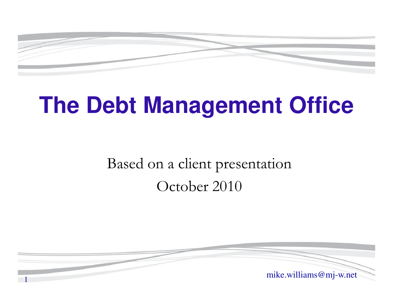

# **The Debt Management Office**

### Based on a client presentationOctober 2010

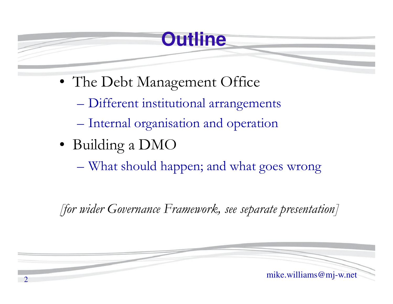## **Outline**

- The Debt Management Office
	- $\mathcal{L}_{\mathcal{A}}$ Different institutional arrangements
	- **Holland Committee Committee** Internal organisation and operation
- Building a DMO
	- $\mathcal{L}_{\mathcal{A}}$ What should happen; and what goes wrong

*[for wider Governance Framework, see separate presentation]*

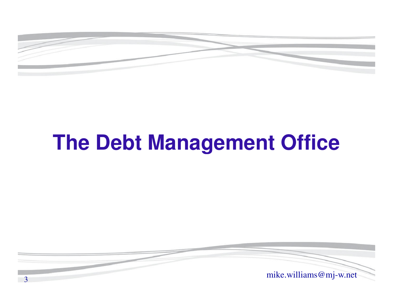

# **The Debt Management Office**

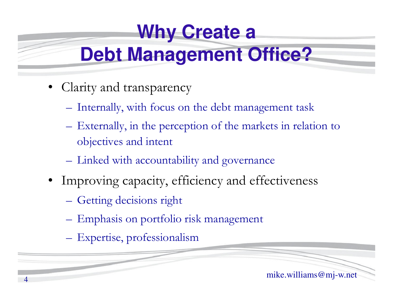# **Why Create a**

# **Debt Management Office?**

- Clarity and transparency
	- –Internally, with focus on the debt management task
	- – Externally, in the perception of the markets in relation to objectives and intent
	- Linked with accountability and governance
- Improving capacity, efficiency and effectiveness
	- $\mathcal{L}_{\mathcal{A}}$ Getting decisions right

4

- Emphasis on portfolio risk management
- Expertise, professionalism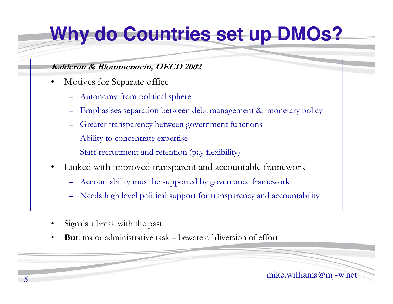# **Why do Countries set up DMOs?**

#### **Kalderon & Blommerstein, OECD 2002**

- • Motives for Separate office
	- Autonomy from political sphere
	- Emphasises separation between debt management & monetary policy
	- Greater transparency between government functions
	- Ability to concentrate expertise
	- Staff recruitment and retention (pay flexibility)
- • Linked with improved transparent and accountable framework
	- Accountability must be supported by governance framework
	- Needs high level political support for transparency and accountability
- •Signals a break with the past
- •**But**: major administrative task – beware of diversion of effort

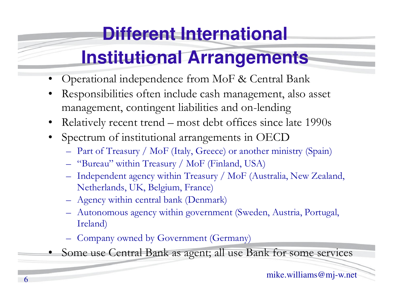# **Different International**

# **Institutional Arrangements**

- •Operational independence from MoF & Central Bank
- • Responsibilities often include cash management, also asset management, contingent liabilities and on-lending
- •Relatively recent trend – most debt offices since late 1990s
- Spectrum of institutional arrangements in OECD
	- $-$  Part of Treasury / Mor Haly Treecel or another mi Part of Treasury / MoF (Italy, Greece) or another ministry (Spain)
	- "Bureau" within Treasury / MoF (Finland, USA)
	- Independent agency within Treasury / MoF (Australia, New Zealand, Netherlands, UK, Belgium, France)
	- Agency within central bank (Denmark)
	- Autonomous agency within government (Sweden, Austria, Portugal, Ireland)
	- Company owned by Government (Germany)
- Some use Central Bank as agent; all use Bank for some services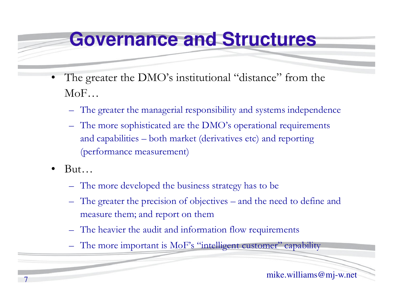### **Governance and Structures**

- •The greater the DMO's institutional "distance" from the MoF…
	- –The greater the managerial responsibility and systems independence
	- The more sophisticated are the DMO's operational requirements and capabilities – both market (derivatives etc) and reporting (performance measurement)
- •But…

7

- –The more developed the business strategy has to be
- The greater the precision of objectives and the need to define and measure them; and report on them
- The heavier the audit and information flow requirements
- The more important is MoF's "intelligent customer" capability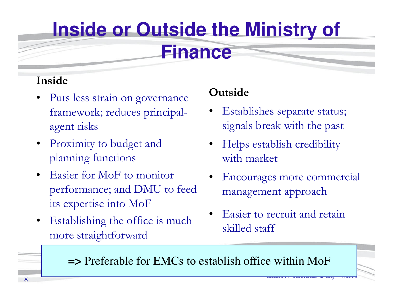# **Inside or Outside the Ministry of**

### **Finance**

### **Inside**

- • Puts less strain on governance framework; reduces principalagent risks
- • Proximity to budget and planning functions
- • Easier for MoF to monitor performance; and DMU to feed its expertise into MoF
- • Establishing the office is much more straightforward

### **Outside**

- • Establishes separate status; signals break with the past
- • Helps establish credibility with market
- • Encourages more commercial management approach
- • Easier to recruit and retain skilled staff

**=>** Preferable for EMCs to establish office within MoF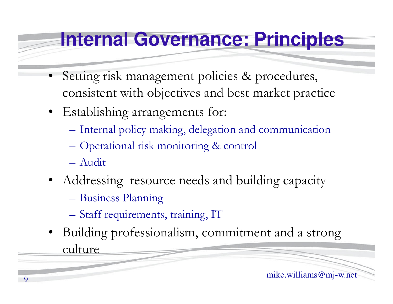## **Internal Governance: Principles**

- • Setting risk management policies & procedures, consistent with objectives and best market practice
- Establishing arrangements for:
	- Internal policy making, delegation and communication
	- Operational risk monitoring & control
	- Audit
- Addressing resource needs and building capacity
	- Business Planning
	- Staff requirements, training, IT
- Building professionalism, commitment and a strong culture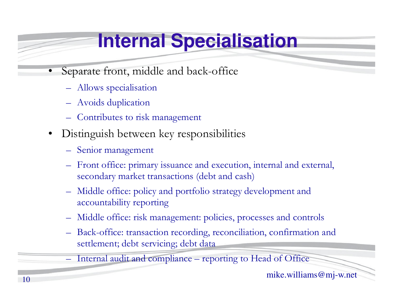# **Internal Specialisation**

- • Separate front, middle and back-office
	- Allows specialisation
	- Avoids duplication
	- Contributes to risk management
- $\bullet$  Distinguish between key responsibilities
	- Senior management
	- Front office: primary issuance and execution, internal and external, secondary market transactions (debt and cash)
	- – Middle office: policy and portfolio strategy development and accountability reporting
	- Middle office: risk management: policies, processes and controls
	- – Back-office: transaction recording, reconciliation, confirmation and settlement; debt servicing; debt data
	- Internal audit and compliance reporting to Head of Office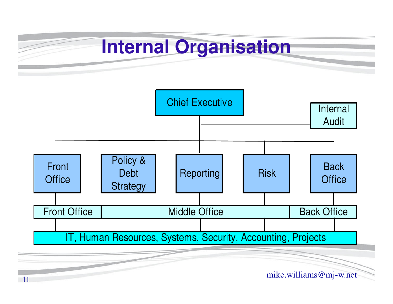## **Internal Organisation**



11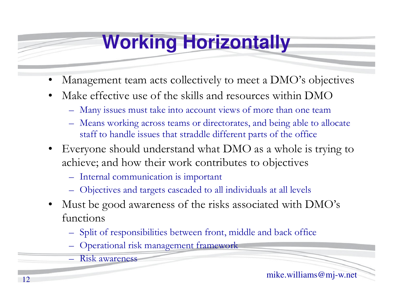# **Working Horizontally**

- •Management team acts collectively to meet a DMO's objectives
- • Make effective use of the skills and resources within DMO
	- $\Box$  Many issues must take into account yiews of more than one tear Many issues must take into account views of more than one team
	- $\Box$  Means working across teams or directorates, and being able to a Means working across teams or directorates, and being able to allocate staff to handle issues that straddle different parts of the office
- $\bullet$  Everyone should understand what DMO as a whole is trying to achieve; and how their work contributes to objectives
	- $\mathcal{L}_{\mathcal{A}}$ Internal communication is important
	- Objectives and targets cascaded to all individuals at all levels
- $\bullet$  Must be good awareness of the risks associated with DMO's functions
	- $\mathcal{L}_{\mathcal{A}}$ Split of responsibilities between front, middle and back office
	- Operational risk management framework
	- Risk awareness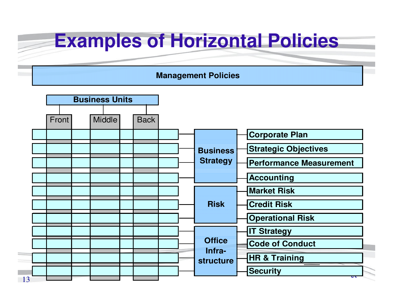### **Examples of Horizontal Policies**

#### **Management Policies**

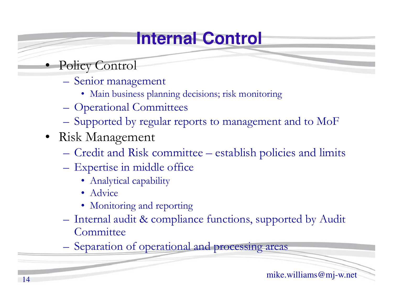## **Internal Control**

- Policy Control
	- Senior management
		- Main business planning decisions; risk monitoring
	- Operational Committees
	- Supported by regular reports to management and to MoF
- Risk Management
	- $\mathcal{L}_{\mathcal{A}}$ Credit and Risk committee – establish policies and limits
	- -
		-
		-
- Expertise in middle office<br>
 Analytical capability<br>
 Advice<br>
 Monitoring and reporting<br>
 Internal audit & compliance functions, supported by Audit<br>
Committee<br>
 Separation of operational and processing areas<br>
mike.wi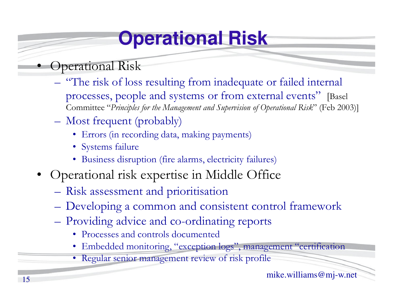# **Operational Risk**

- • Operational Risk
	- "The risk of loss resulting from inadequate or failed internal processes, people and systems or from external events" [Basel Committee "*Principles for the Management and Supervision of Operational Risk*" (Feb 2003)]
	- Most frequent (probably)
		- Errors (in recording data, making payments)
		- Systems failure
		- Business disruption (fire alarms, electricity failures)
- Operational risk expertise in Middle Office
	- Risk assessment and prioritisation
	- Developing a common and consistent control framework
	- Providing advice and co-ordinating reports
		- Processes and controls documented
		- Embedded monitoring, "exception logs", management "certification
		- Regular senior management review of risk profile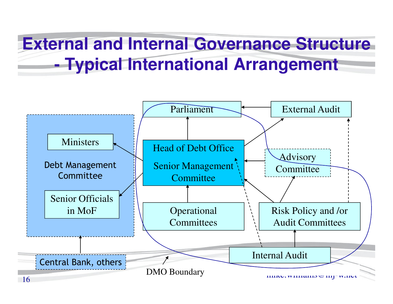### **External and Internal Governance Structure - Typical International Arrangement**

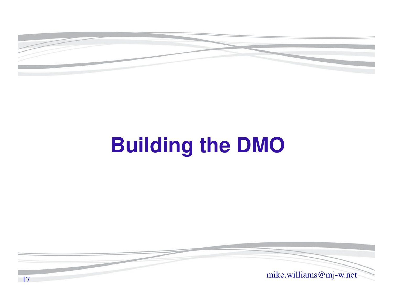

# **Building the DMO**



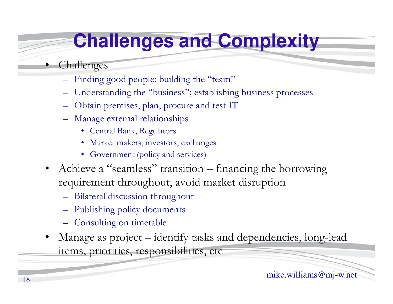# **Challenges and Complexity**

### Challenges

•

- Finding good people; building the "team"
- Understanding the "business"; establishing business processes
- Obtain premises, plan, procure and test IT
- Manage external relationships
	- Central Bank, Regulators
	- Market makers, investors, exchanges
	- Government (policy and services)
- Achieve a "seamless" transition financing the borrowing requirement throughout, avoid market disruption
	- Bilateral discussion throughout
	- Publishing policy documents
	- Consulting on timetable
- • Manage as project – identify tasks and dependencies, long-lead items, priorities, responsibilities, etc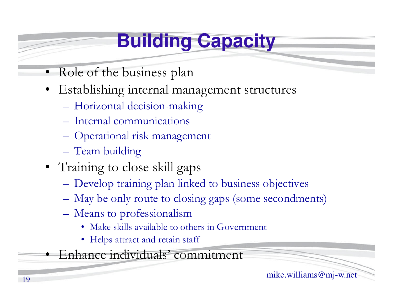# **Building Capacity**

- •Role of the business plan
- Establishing internal management structures
	- –Horizontal decision-making
	- **Hart Committee Committee** Internal communications
	- Operational risk management
	- –Team building
- Training to close skill gaps
	- **Hart Committee Committee** Develop training plan linked to business objectives
	- May be only route to closing gaps (some secondments)
	- –Means to professionalism
		- Make skills available to others in Government
		- Helps attract and retain staff
- •Enhance individuals' commitment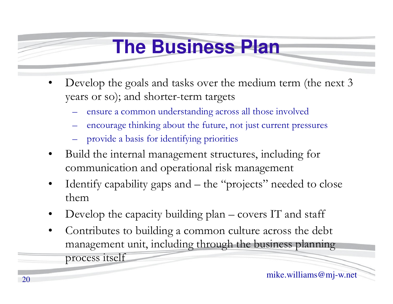## **The Business Plan**

- •Develop the goals and tasks over the medium term (the next 3 years or so); and shorter-term targets
	- ensure a common understanding across all those involved
	- encourage thinking about the future, not just current pressures
	- provide a basis for identifying priorities
- • Build the internal management structures, including for communication and operational risk management
- • Identify capability gaps and – the "projects" needed to close them
- Develop the capacity building plan covers IT and staff •
- • Contributes to building a common culture across the debt management unit, including through the business planning process itself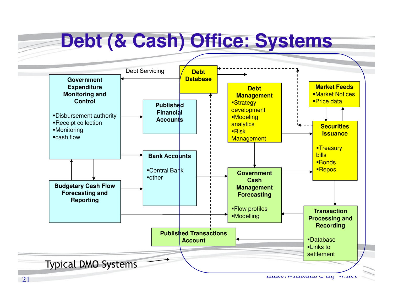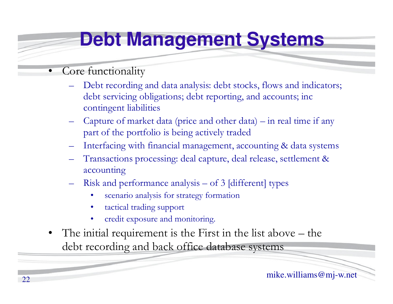# **Debt Management Systems**

- • Core functionality
	- Debt recording and data analysis: debt stocks, flows and indicators; debt servicing obligations; debt reporting, and accounts; inc contingent liabilities
	- Capture of market data (price and other data) in real time if any part of the portfolio is being actively traded
	- Interfacing with financial management, accounting & data systems
	- Transactions processing: deal capture, deal release, settlement & accounting
	- Risk and performance analysis of 3 [different] types
		- •scenario analysis for strategy formation
		- •tactical trading support
		- •credit exposure and monitoring.
- • The initial requirement is the First in the list above – the debt recording and back office database systems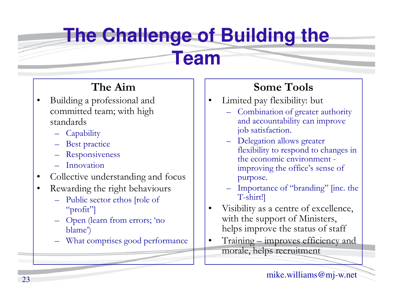# **The Challenge of Building the**

### **Team**

### **The Aim**

- •Building a professional and committed team; with high standards
	- **Capability**
	- Best practice
	- Responsiveness
	- Innovation
- •Collective understanding and focus
- Rewarding the right behaviours
	- – Public sector ethos [role of "profit"]
	- – Open (learn from errors; 'no blame')
	- What comprises good performance

### **Some Tools**

- Limited pay flexibility: but •
	- Combination of greater authority and accountability can improve job satisfaction.
	- Delegation allows greater flexibility to respond to changes in the economic environment improving the office's sense of purpose.
	- Importance of "branding" [inc. the T-shirt!]
- • Visibility as a centre of excellence, with the support of Ministers, helps improve the status of staff
- • Training – improves efficiency and morale, helps recruitment

•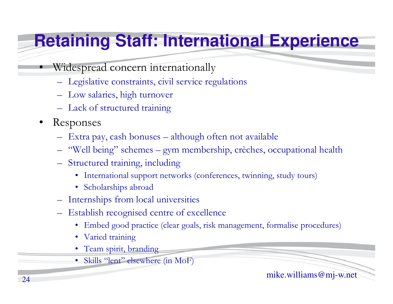## **Retaining Staff: International Experience**

- Widespread concern internationally
	- Legislative constraints, civil service regulations
	- Low salaries, high turnover
	- Lack of structured training
- •Responses

•

- Extra pay, cash bonuses although often not available
- "Well being" schemes gym membership, crèches, occupational health
- Structured training, including
	- International support networks (conferences, twinning, study tours)
	- Scholarships abroad
- Internships from local universities
- Establish recognised centre of excellence
	- Embed good practice (clear goals, risk management, formalise procedures)
	- Varied training
	- Team spirit, branding
	- Skills "lent" elsewhere (in MoF)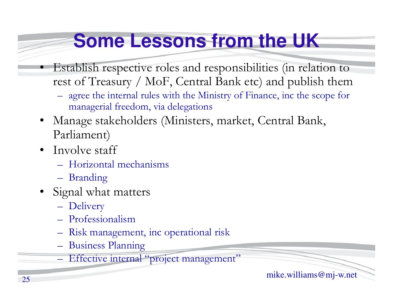# **Some Lessons from the UK**

- Establish respective roles and responsibilities (in relation to rest of Treasury / MoF, Central Bank etc) and publish them
	- $-$  40122 TH2 BU2114F HIRS WILD TH2 WIBISTY OF PHYMC2 THE REDIC TO agree the internal rules with the Ministry of Finance, inc the scope for managerial freedom, via delegations
- • Manage stakeholders (Ministers, market, Central Bank, Parliament)
- •Involve staff

•

- $\mathcal{L}_{\mathcal{A}}$ Horizontal mechanisms
- $\mathcal{L}_{\mathcal{A}}$ Branding
- • Signal what matters
	- $\mathcal{L}_{\mathcal{A}}$ Delivery
	- $\mathcal{L}_{\mathcal{A}}$ Professionalism
	- Kiek managem Risk management, inc operational risk
	- –Business Planning
	- $\mathcal{L}_{\mathcal{A}}$ Effective internal "project management"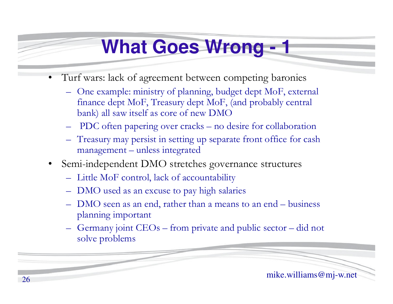## **What Goes Wrong - <sup>1</sup>**

- • Turf wars: lack of agreement between competing baronies
	- One example: ministry of planning, budget dept MoF, external<br>fragmental MoF, Treasury dept MoF, (and probably control finance dept MoF, Treasury dept MoF, (and probably central bank) all saw itself as core of new DMO
	- PDC often papering over cracks no desire for collaboration
	- Treasury may persist in setting up separate front office for cash management –unless integrated
- $\bullet$  Semi-independent DMO stretches governance structures
	- Little MoF control, lack of accountability
	- DMO used as an excuse to pay high salaries
	- DMO seen as an end, rather than a means to an end business<br>planning important. planning important
	- Germany joint CEOs from private and public sector did not solve problems